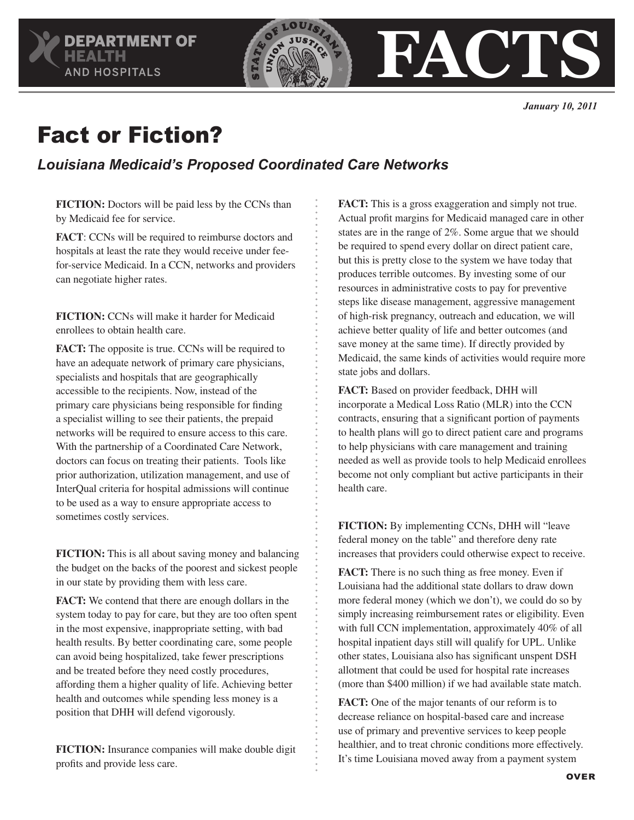

## Fact or Fiction?

## *Louisiana Medicaid's Proposed Coordinated Care Networks*

**FICTION:** Doctors will be paid less by the CCNs than by Medicaid fee for service.

**FACT**: CCNs will be required to reimburse doctors and hospitals at least the rate they would receive under feefor-service Medicaid. In a CCN, networks and providers can negotiate higher rates.

**FICTION:** CCNs will make it harder for Medicaid enrollees to obtain health care.

**FACT:** The opposite is true. CCNs will be required to have an adequate network of primary care physicians, specialists and hospitals that are geographically accessible to the recipients. Now, instead of the primary care physicians being responsible for finding a specialist willing to see their patients, the prepaid networks will be required to ensure access to this care. With the partnership of a Coordinated Care Network, doctors can focus on treating their patients. Tools like prior authorization, utilization management, and use of InterQual criteria for hospital admissions will continue to be used as a way to ensure appropriate access to sometimes costly services.

**FICTION:** This is all about saving money and balancing the budget on the backs of the poorest and sickest people in our state by providing them with less care.

**FACT:** We contend that there are enough dollars in the system today to pay for care, but they are too often spent in the most expensive, inappropriate setting, with bad health results. By better coordinating care, some people can avoid being hospitalized, take fewer prescriptions and be treated before they need costly procedures, affording them a higher quality of life. Achieving better health and outcomes while spending less money is a position that DHH will defend vigorously.

**FICTION:** Insurance companies will make double digit profits and provide less care.

**FACT:** This is a gross exaggeration and simply not true. Actual profit margins for Medicaid managed care in other states are in the range of 2%. Some argue that we should be required to spend every dollar on direct patient care, but this is pretty close to the system we have today that produces terrible outcomes. By investing some of our resources in administrative costs to pay for preventive steps like disease management, aggressive management of high-risk pregnancy, outreach and education, we will achieve better quality of life and better outcomes (and save money at the same time). If directly provided by Medicaid, the same kinds of activities would require more state jobs and dollars.

**FACT:** Based on provider feedback, DHH will incorporate a Medical Loss Ratio (MLR) into the CCN contracts, ensuring that a significant portion of payments to health plans will go to direct patient care and programs to help physicians with care management and training needed as well as provide tools to help Medicaid enrollees become not only compliant but active participants in their health care.

**FICTION:** By implementing CCNs, DHH will "leave federal money on the table" and therefore deny rate increases that providers could otherwise expect to receive.

**FACT:** There is no such thing as free money. Even if Louisiana had the additional state dollars to draw down more federal money (which we don't), we could do so by simply increasing reimbursement rates or eligibility. Even with full CCN implementation, approximately 40% of all hospital inpatient days still will qualify for UPL. Unlike other states, Louisiana also has significant unspent DSH allotment that could be used for hospital rate increases (more than \$400 million) if we had available state match.

**FACT:** One of the major tenants of our reform is to decrease reliance on hospital-based care and increase use of primary and preventive services to keep people healthier, and to treat chronic conditions more effectively. It's time Louisiana moved away from a payment system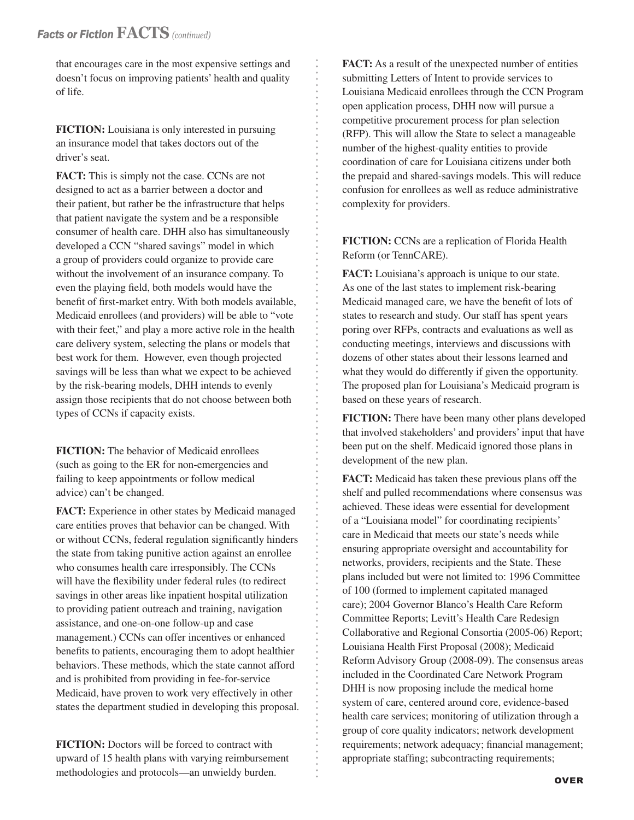that encourages care in the most expensive settings and doesn't focus on improving patients' health and quality of life.

**FICTION:** Louisiana is only interested in pursuing an insurance model that takes doctors out of the driver's seat.

**FACT:** This is simply not the case. CCNs are not designed to act as a barrier between a doctor and their patient, but rather be the infrastructure that helps that patient navigate the system and be a responsible consumer of health care. DHH also has simultaneously developed a CCN "shared savings" model in which a group of providers could organize to provide care without the involvement of an insurance company. To even the playing field, both models would have the benefit of first-market entry. With both models available, Medicaid enrollees (and providers) will be able to "vote with their feet," and play a more active role in the health care delivery system, selecting the plans or models that best work for them. However, even though projected savings will be less than what we expect to be achieved by the risk-bearing models, DHH intends to evenly assign those recipients that do not choose between both types of CCNs if capacity exists.

**FICTION:** The behavior of Medicaid enrollees (such as going to the ER for non-emergencies and failing to keep appointments or follow medical advice) can't be changed.

**FACT:** Experience in other states by Medicaid managed care entities proves that behavior can be changed. With or without CCNs, federal regulation significantly hinders the state from taking punitive action against an enrollee who consumes health care irresponsibly. The CCNs will have the flexibility under federal rules (to redirect savings in other areas like inpatient hospital utilization to providing patient outreach and training, navigation assistance, and one-on-one follow-up and case management.) CCNs can offer incentives or enhanced benefits to patients, encouraging them to adopt healthier behaviors. These methods, which the state cannot afford and is prohibited from providing in fee-for-service Medicaid, have proven to work very effectively in other states the department studied in developing this proposal.

**FICTION:** Doctors will be forced to contract with upward of 15 health plans with varying reimbursement methodologies and protocols—an unwieldy burden.

**FACT:** As a result of the unexpected number of entities submitting Letters of Intent to provide services to Louisiana Medicaid enrollees through the CCN Program open application process, DHH now will pursue a competitive procurement process for plan selection (RFP). This will allow the State to select a manageable number of the highest-quality entities to provide coordination of care for Louisiana citizens under both the prepaid and shared-savings models. This will reduce confusion for enrollees as well as reduce administrative complexity for providers.

**FICTION:** CCNs are a replication of Florida Health Reform (or TennCARE).

**FACT:** Louisiana's approach is unique to our state. As one of the last states to implement risk-bearing Medicaid managed care, we have the benefit of lots of states to research and study. Our staff has spent years poring over RFPs, contracts and evaluations as well as conducting meetings, interviews and discussions with dozens of other states about their lessons learned and what they would do differently if given the opportunity. The proposed plan for Louisiana's Medicaid program is based on these years of research.

**FICTION:** There have been many other plans developed that involved stakeholders' and providers' input that have been put on the shelf. Medicaid ignored those plans in development of the new plan.

**FACT:** Medicaid has taken these previous plans off the shelf and pulled recommendations where consensus was achieved. These ideas were essential for development of a "Louisiana model" for coordinating recipients' care in Medicaid that meets our state's needs while ensuring appropriate oversight and accountability for networks, providers, recipients and the State. These plans included but were not limited to: 1996 Committee of 100 (formed to implement capitated managed care); 2004 Governor Blanco's Health Care Reform Committee Reports; Levitt's Health Care Redesign Collaborative and Regional Consortia (2005-06) Report; Louisiana Health First Proposal (2008); Medicaid Reform Advisory Group (2008-09). The consensus areas included in the Coordinated Care Network Program DHH is now proposing include the medical home system of care, centered around core, evidence-based health care services; monitoring of utilization through a group of core quality indicators; network development requirements; network adequacy; financial management; appropriate staffing; subcontracting requirements;